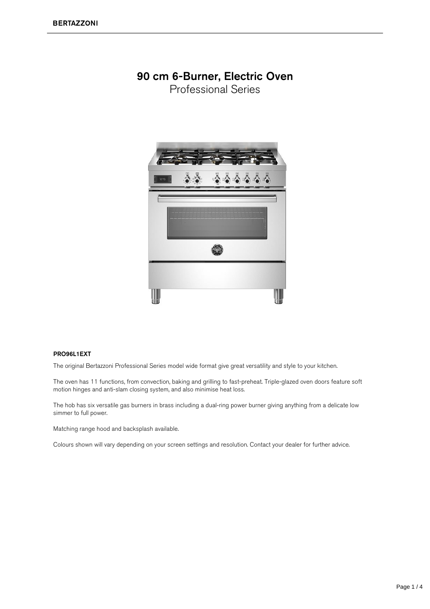## 90 cm 6-Burner, Electric Oven

Professional Series



## PRO96L1EXT

The original Bertazzoni Professional Series model wide format give great versatility and style to your kitchen.

The oven has 11 functions, from convection, baking and grilling to fast-preheat. Triple-glazed oven doors feature soft motion hinges and anti-slam closing system, and also minimise heat loss.

The hob has six versatile gas burners in brass including a dual-ring power burner giving anything from a delicate low simmer to full power.

Matching range hood and backsplash available.

Colours shown will vary depending on your screen settings and resolution. Contact your dealer for further advice.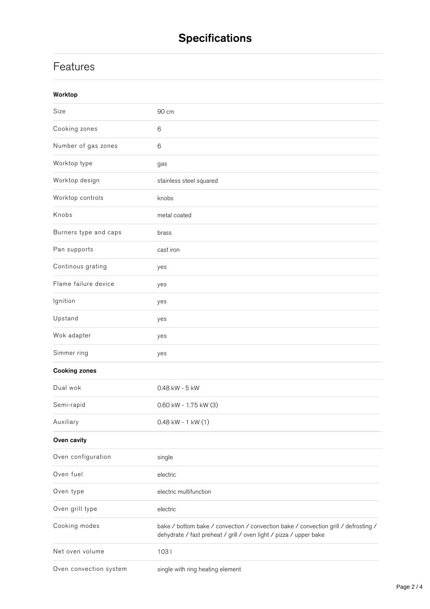## **Features**

| Worktop                |                                                                                                                                                           |
|------------------------|-----------------------------------------------------------------------------------------------------------------------------------------------------------|
| Size                   | 90 cm                                                                                                                                                     |
| Cooking zones          | 6                                                                                                                                                         |
| Number of gas zones    | 6                                                                                                                                                         |
| Worktop type           | gas                                                                                                                                                       |
| Worktop design         | stainless steel squared                                                                                                                                   |
| Worktop controls       | knobs                                                                                                                                                     |
| Knobs                  | metal coated                                                                                                                                              |
| Burners type and caps  | brass                                                                                                                                                     |
| Pan supports           | cast iron                                                                                                                                                 |
| Continous grating      | yes                                                                                                                                                       |
| Flame failure device   | yes                                                                                                                                                       |
| Ignition               | yes                                                                                                                                                       |
| Upstand                | yes                                                                                                                                                       |
| Wok adapter            | yes                                                                                                                                                       |
| Simmer ring            | yes                                                                                                                                                       |
| <b>Cooking zones</b>   |                                                                                                                                                           |
| Dual wok               | 0.48 kW - 5 kW                                                                                                                                            |
| Semi-rapid             | 0.60 kW - 1.75 kW (3)                                                                                                                                     |
| Auxiliary              | $0.48$ kW - 1 kW $(1)$                                                                                                                                    |
| Oven cavity            |                                                                                                                                                           |
| Oven configuration     | single                                                                                                                                                    |
| Oven fuel              | electric                                                                                                                                                  |
| Oven type              | electric multifunction                                                                                                                                    |
| Oven grill type        | electric                                                                                                                                                  |
| Cooking modes          | bake / bottom bake / convection / convection bake / convection grill / defrosting /<br>dehydrate / fast preheat / grill / oven light / pizza / upper bake |
| Net oven volume        | 1031                                                                                                                                                      |
| Oven convection system | single with ring heating element                                                                                                                          |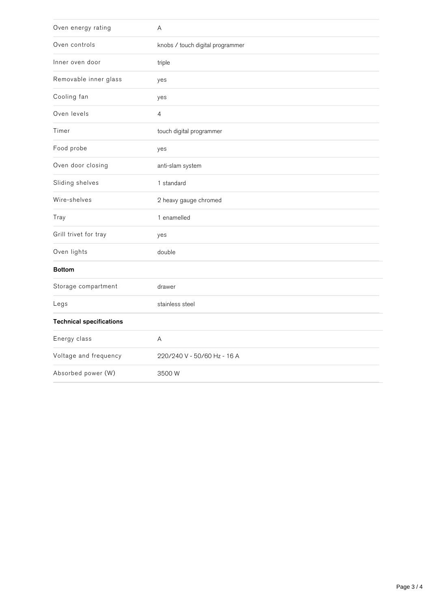| Oven energy rating              | Α                                |
|---------------------------------|----------------------------------|
| Oven controls                   | knobs / touch digital programmer |
| Inner oven door                 | triple                           |
| Removable inner glass           | yes                              |
| Cooling fan                     | yes                              |
| Oven levels                     | $\overline{4}$                   |
| Timer                           | touch digital programmer         |
| Food probe                      | yes                              |
| Oven door closing               | anti-slam system                 |
| Sliding shelves                 | 1 standard                       |
| Wire-shelves                    | 2 heavy gauge chromed            |
| Tray                            | 1 enamelled                      |
| Grill trivet for tray           | yes                              |
| Oven lights                     | double                           |
| <b>Bottom</b>                   |                                  |
| Storage compartment             | drawer                           |
| Legs                            | stainless steel                  |
| <b>Technical specifications</b> |                                  |
| Energy class                    | Α                                |
| Voltage and frequency           | 220/240 V - 50/60 Hz - 16 A      |
| Absorbed power (W)              | 3500W                            |

 $\omega$  convection tem ingle with ring heating  $\omega$